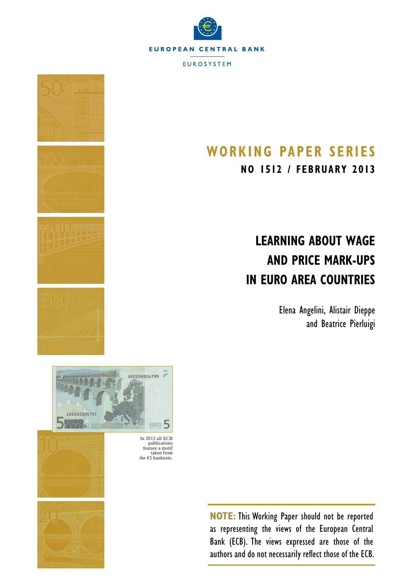



# **Working Paper SerieS**

**NO 1512 / february 2013**

# **Learning about wage and price mark-ups in euro area countries**

Elena Angelini, Alistair Dieppe and Beatrice Pierluigi



In 2013 all ECB publications feature a motif taken from the €5 banknote.



**NOTE:** This Working Paper should not be reported as representing the views of the European Central Bank (ECB). The views expressed are those of the authors and do not necessarily reflect those of the ECB.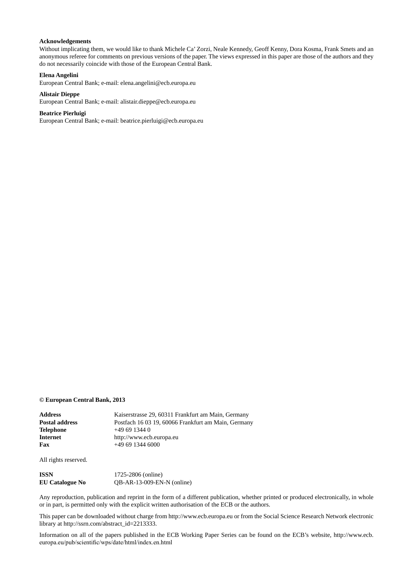#### **Acknowledgements**

Without implicating them, we would like to thank Michele Ca' Zorzi, Neale Kennedy, Geoff Kenny, Dora Kosma, Frank Smets and an anonymous referee for comments on previous versions of the paper. The views expressed in this paper are those of the authors and they do not necessarily coincide with those of the European Central Bank.

#### **Elena Angelini**

**Alistair Dieppe**

[European Central Bank](http://www.ecb.europa.eu/home/html/index.en.html); e-mail: [elena.angelini@ecb.europa.eu](mailto:elena.angelini%40ecb.europa.eu?subject=)

[European Central Bank](http://www.ecb.europa.eu/home/html/index.en.html); e-mail: [alistair.dieppe@ecb.europa.eu](mailto:alistair.dieppe%40ecb.europa.eu?subject=)

### **Beatrice Pierluigi**

[European Central Bank](http://www.ecb.europa.eu/home/html/index.en.html); e-mail: [beatrice.pierluigi@ecb.europa.eu](mailto:beatrice.pierluigi%40ecb.europa.eu?subject=)

#### **© European Central Bank, 2013**

| <b>Address</b>        | Kaiserstrasse 29, 60311 Frankfurt am Main, Germany  |
|-----------------------|-----------------------------------------------------|
| <b>Postal address</b> | Postfach 16 03 19, 60066 Frankfurt am Main, Germany |
| <b>Telephone</b>      | $+496913440$                                        |
| <b>Internet</b>       | http://www.ecb.europa.eu                            |
| Fax                   | $+496913446000$                                     |
|                       |                                                     |

All rights reserved.

| ISSN            | 1725-2806 (online)           |
|-----------------|------------------------------|
| EU Catalogue No | $QB-AR-13-009-EN-N$ (online) |

Any reproduction, publication and reprint in the form of a different publication, whether printed or produced electronically, in whole or in part, is permitted only with the explicit written authorisation of the ECB or the authors.

This paper can be downloaded without charge from http://www.ecb.europa.eu or from the Social Science Research Network electronic library at http://ssrn.com/abstract\_id=2213333.

Information on all of the papers published in the ECB Working Paper Series can be found on the ECB's website, [http://www.ecb.](http://www.ecb.europa.eu/pub/scientific/wps/date/html/index.en.html) [europa.eu/pub/scientific/wps/date/html/index.en.html](http://www.ecb.europa.eu/pub/scientific/wps/date/html/index.en.html)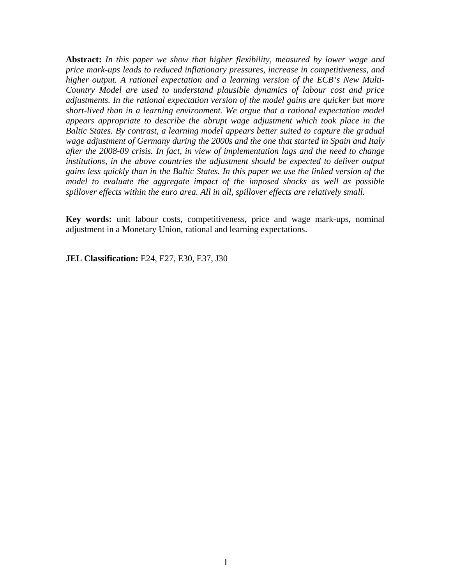**Abstract:** *In this paper we show that higher flexibility, measured by lower wage and price mark-ups leads to reduced inflationary pressures, increase in competitiveness, and higher output. A rational expectation and a learning version of the ECB's New Multi-Country Model are used to understand plausible dynamics of labour cost and price adjustments. In the rational expectation version of the model gains are quicker but more short-lived than in a learning environment. We argu[e](#page-2-0) that a rational expectation model appears appropriate to describe the abrupt wage adjustment which took place in the Baltic States. By contrast, a learning model appears better suited to capture the gradual wage adjustment of Germany during the 2000s and the one that started in Spain and Italy after the 2008-09 crisis. In fact, in view of implementation lags and the need to change institutions, in the above countries the adjustment should be expected to deliver output gains less quickly than in the Baltic States. In this paper we use the linked version of the model to evaluate the aggregate impact of the imposed shocks as well as possible spillover effects within the euro area. All in all, spillover effects are relatively small.*

**Key words:** unit labour costs, competitiveness, price and wage mark-ups, nominal adjustment in a Monetary Union, rational and learning expectations.

<span id="page-2-0"></span>**JEL Classification:** E24, E27, E30, E37, J30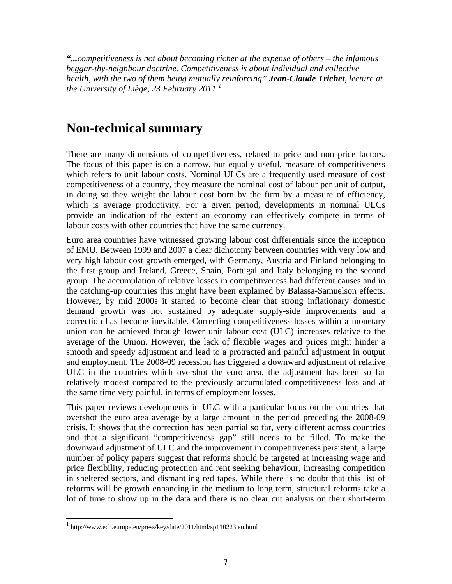*"...competitiveness is not about becoming richer at the expense of others – the infamous beggar-thy-neighbour doctrine. Competitiveness is about individual and collective health, with the two of them being mutually reinforcing" Jean-Claude Trichet, lecture at the University of Liège, 23 February 2011.[1](#page-3-0)*

### **Non-technical summary**

There are many dimensions of competitiveness, related to price and non price factors. The focus of this paper is on a narrow, but equally useful, measure of competitiveness which refers to unit labour costs. Nominal ULCs are a frequently used measure of cost competitiveness of a country, they measure the nominal cost of labour per unit of output, in doing so they weight the labour cost born by the firm by a measure of efficiency, which is average productivity. For a given period, developments in nominal ULCs provide an indication of the extent an economy can effectively compete in terms of labour costs with other countries that have the same currency.

Euro area countries have witnessed growing labour cost differentials since the inception of EMU. Between 1999 and 2007 a clear dichotomy between countries with very low and very high labour cost growth emerged, with Germany, Austria and Finland belonging to the first group and Ireland, Greece, Spain, Portugal and Italy belonging to the second group. The accumulation of relative losses in competitiveness had different causes and in the catching-up countries this might have been explained by Balassa-Samuelson effects. However, by mid 2000s it started to become clear that strong inflationary domestic demand growth was not sustained by adequate supply-side improvements and a correction has become inevitable. Correcting competitiveness losses within a monetary union can be achieved through lower unit labour cost (ULC) increases relative to the average of the Union. However, the lack of flexible wages and prices might hinder a smooth and speedy adjustment and lead to a protracted and painful adjustment in output and employment. The 2008-09 recession has triggered a downward adjustment of relative ULC in the countries which overshot the euro area, the adjustment has been so far relatively modest compared to the previously accumulated competitiveness loss and at the same time very painful, in terms of employment losses.

This paper reviews developments in ULC with a particular focus on the countries that overshot the euro area average by a large amount in the period preceding the 2008-09 crisis. It shows that the correction has been partial so far, very different across countries and that a significant "competitiveness gap" still needs to be filled. To make the downward adjustment of ULC and the improvement in competitiveness persistent, a large number of policy papers suggest that reforms should be targeted at increasing wage and price flexibility, reducing protection and rent seeking behaviour, increasing competition in sheltered sectors, and dismantling red tapes. While there is no doubt that this list of reforms will be growth enhancing in the medium to long term, structural reforms take a lot of time to show up in the data and there is no clear cut analysis on their short-term

 $\overline{a}$ 

<span id="page-3-0"></span><sup>1</sup> http://www.ecb.europa.eu/press/key/date/2011/html/sp110223.en.html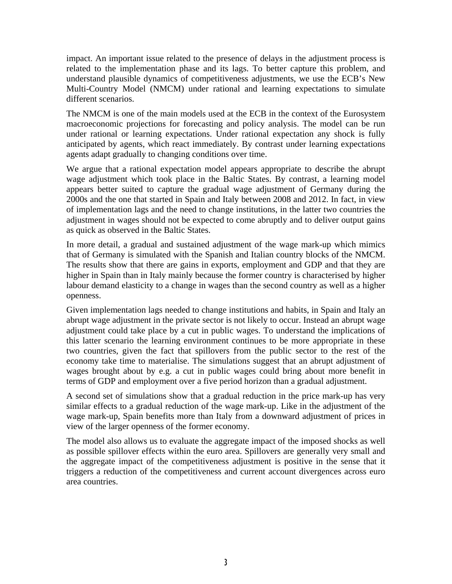impact. An important issue related to the presence of delays in the adjustment process is related to the implementation phase and its lags. To better capture this problem, and understand plausible dynamics of competitiveness adjustments, we use the ECB's New Multi-Country Model (NMCM) under rational and learning expectations to simulate different scenarios.

The NMCM is one of the main models used at the ECB in the context of the Eurosystem macroeconomic projections for forecasting and policy analysis. The model can be run under rational or learning expectations. Under rational expectation any shock is fully anticipated by agents, which react immediately. By contrast under learning expectations agents adapt gradually to changing conditions over time.

We argue that a rational expectation model appears appropriate to describe the abrupt wage adjustment which took place in the Baltic States. By contrast, a learning model appears better suited to capture the gradual wage adjustment of Germany during the 2000s and the one that started in Spain and Italy between 2008 and 2012. In fact, in view of implementation lags and the need to change institutions, in the latter two countries the adjustment in wages should not be expected to come abruptly and to deliver output gains as quick as observed in the Baltic States.

In more detail, a gradual and sustained adjustment of the wage mark-up which mimics that of Germany is simulated with the Spanish and Italian country blocks of the NMCM. The results show that there are gains in exports, employment and GDP and that they are higher in Spain than in Italy mainly because the former country is characterised by higher labour demand elasticity to a change in wages than the second country as well as a higher openness.

Given implementation lags needed to change institutions and habits, in Spain and Italy an abrupt wage adjustment in the private sector is not likely to occur. Instead an abrupt wage adjustment could take place by a cut in public wages. To understand the implications of this latter scenario the learning environment continues to be more appropriate in these two countries, given the fact that spillovers from the public sector to the rest of the economy take time to materialise. The simulations suggest that an abrupt adjustment of wages brought about by e.g. a cut in public wages could bring about more benefit in terms of GDP and employment over a five period horizon than a gradual adjustment.

A second set of simulations show that a gradual reduction in the price mark-up has very similar effects to a gradual reduction of the wage mark-up. Like in the adjustment of the wage mark-up, Spain benefits more than Italy from a downward adjustment of prices in view of the larger openness of the former economy.

The model also allows us to evaluate the aggregate impact of the imposed shocks as well as possible spillover effects within the euro area. Spillovers are generally very small and the aggregate impact of the competitiveness adjustment is positive in the sense that it triggers a reduction of the competitiveness and current account divergences across euro area countries.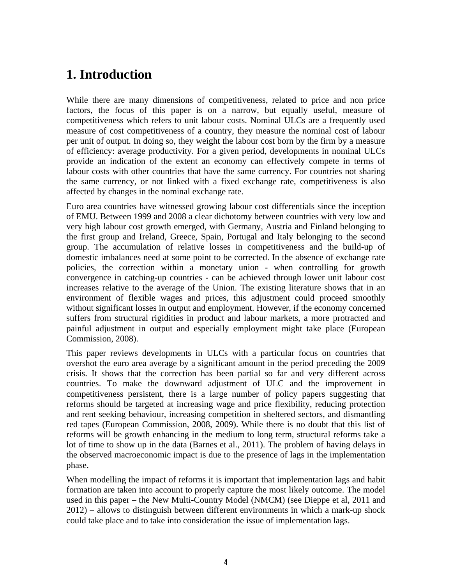### **1. Introduction**

While there are many dimensions of competitiveness, related to price and non price factors, the focus of this paper is on a narrow, but equally useful, measure of competitiveness which refers to unit labour costs. Nominal ULCs are a frequently used measure of cost competitiveness of a country, they measure the nominal cost of labour per unit of output. In doing so, they weight the labour cost born by the firm by a measure of efficiency: average productivity. For a given period, developments in nominal ULCs provide an indication of the extent an economy can effectively compete in terms of labour costs with other countries that have the same currency. For countries not sharing the same currency, or not linked with a fixed exchange rate, competitiveness is also affected by changes in the nominal exchange rate.

Euro area countries have witnessed growing labour cost differentials since the inception of EMU. Between 1999 and 2008 a clear dichotomy between countries with very low and very high labour cost growth emerged, with Germany, Austria and Finland belonging to the first group and Ireland, Greece, Spain, Portugal and Italy belonging to the second group. The accumulation of relative losses in competitiveness and the build-up of domestic imbalances need at some point to be corrected. In the absence of exchange rate policies, the correction within a monetary union - when controlling for growth convergence in catching-up countries - can be achieved through lower unit labour cost increases relative to the average of the Union. The existing literature shows that in an environment of flexible wages and prices, this adjustment could proceed smoothly without significant losses in output and employment. However, if the economy concerned suffers from structural rigidities in product and labour markets, a more protracted and painful adjustment in output and especially employment might take place (European Commission, 2008).

This paper reviews developments in ULCs with a particular focus on countries that overshot the euro area average by a significant amount in the period preceding the 2009 crisis. It shows that the correction has been partial so far and very different across countries. To make the downward adjustment of ULC and the improvement in competitiveness persistent, there is a large number of policy papers suggesting that reforms should be targeted at increasing wage and price flexibility, reducing protection and rent seeking behaviour, increasing competition in sheltered sectors, and dismantling red tapes (European Commission, 2008, 2009). While there is no doubt that this list of reforms will be growth enhancing in the medium to long term, structural reforms take a lot of time to show up in the data (Barnes et al., 2011). The problem of having delays in the observed macroeconomic impact is due to the presence of lags in the implementation phase.

When modelling the impact of reforms it is important that implementation lags and habit formation are taken into account to properly capture the most likely outcome. The model used in this paper – the New Multi-Country Model (NMCM) (see Dieppe et al, 2011 and 2012) – allows to distinguish between different environments in which a mark-up shock could take place and to take into consideration the issue of implementation lags.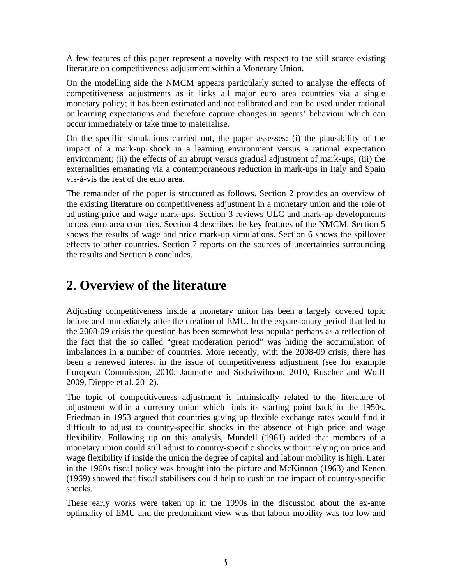A few features of this paper represent a novelty with respect to the still scarce existing literature on competitiveness adjustment within a Monetary Union.

On the modelling side the NMCM appears particularly suited to analyse the effects of competitiveness adjustments as it links all major euro area countries via a single monetary policy; it has been estimated and not calibrated and can be used under rational or learning expectations and therefore capture changes in agents' behaviour which can occur immediately or take time to materialise.

On the specific simulations carried out, the paper assesses: (i) the plausibility of the impact of a mark-up shock in a learning environment versus a rational expectation environment; (ii) the effects of an abrupt versus gradual adjustment of mark-ups; (iii) the externalities emanating via a contemporaneous reduction in mark-ups in Italy and Spain vis-à-vis the rest of the euro area.

The remainder of the paper is structured as follows. Section 2 provides an overview of the existing literature on competitiveness adjustment in a monetary union and the role of adjusting price and wage mark-ups. Section 3 reviews ULC and mark-up developments across euro area countries. Section 4 describes the key features of the NMCM. Section 5 shows the results of wage and price mark-up simulations. Section 6 shows the spillover effects to other countries. Section 7 reports on the sources of uncertainties surrounding the results and Section 8 concludes.

### **2. Overview of the literature**

Adjusting competitiveness inside a monetary union has been a largely covered topic before and immediately after the creation of EMU. In the expansionary period that led to the 2008-09 crisis the question has been somewhat less popular perhaps as a reflection of the fact that the so called "great moderation period" was hiding the accumulation of imbalances in a number of countries. More recently, with the 2008-09 crisis, there has been a renewed interest in the issue of competitiveness adjustment (see for example European Commission, 2010, Jaumotte and Sodsriwiboon, 2010, Ruscher and Wolff 2009, Dieppe et al. 2012).

The topic of competitiveness adjustment is intrinsically related to the literature of adjustment within a currency union which finds its starting point back in the 1950s. Friedman in 1953 argued that countries giving up flexible exchange rates would find it difficult to adjust to country-specific shocks in the absence of high price and wage flexibility. Following up on this analysis, Mundell (1961) added that members of a monetary union could still adjust to country-specific shocks without relying on price and wage flexibility if inside the union the degree of capital and labour mobility is high. Later in the 1960s fiscal policy was brought into the picture and McKinnon (1963) and Kenen (1969) showed that fiscal stabilisers could help to cushion the impact of country-specific shocks.

These early works were taken up in the 1990s in the discussion about the ex-ante optimality of EMU and the predominant view was that labour mobility was too low and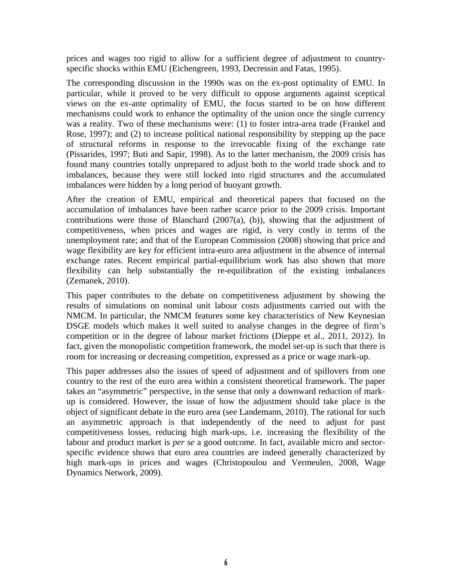prices and wages too rigid to allow for a sufficient degree of adjustment to countryspecific shocks within EMU (Eichengreen, 1993, Decressin and Fatas, 1995).

The corresponding discussion in the 1990s was on the ex-post optimality of EMU. In particular, while it proved to be very difficult to oppose arguments against sceptical views on the ex-ante optimality of EMU, the focus started to be on how different mechanisms could work to enhance the optimality of the union once the single currency was a reality. Two of these mechanisms were: (1) to foster intra-area trade (Frankel and Rose, 1997); and (2) to increase political national responsibility by stepping up the pace of structural reforms in response to the irrevocable fixing of the exchange rate (Pissarides, 1997; Buti and Sapir, 1998). As to the latter mechanism, the 2009 crisis has found many countries totally unprepared to adjust both to the world trade shock and to imbalances, because they were still locked into rigid structures and the accumulated imbalances were hidden by a long period of buoyant growth.

After the creation of EMU, empirical and theoretical papers that focused on the accumulation of imbalances have been rather scarce prior to the 2009 crisis. Important contributions were those of Blanchard  $(2007(a), (b))$ , showing that the adjustment of competitiveness, when prices and wages are rigid, is very costly in terms of the unemployment rate; and that of the European Commission (2008) showing that price and wage flexibility are key for efficient intra-euro area adjustment in the absence of internal exchange rates. Recent empirical partial-equilibrium work has also shown that more flexibility can help substantially the re-equilibration of the existing imbalances (Zemanek, 2010).

This paper contributes to the debate on competitiveness adjustment by showing the results of simulations on nominal unit labour costs adjustments carried out with the NMCM. In particular, the NMCM features some key characteristics of New Keynesian DSGE models which makes it well suited to analyse changes in the degree of firm's competition or in the degree of labour market frictions (Dieppe et al., 2011, 2012). In fact, given the monopolistic competition framework, the model set-up is such that there is room for increasing or decreasing competition, expressed as a price or wage mark-up.

This paper addresses also the issues of speed of adjustment and of spillovers from one country to the rest of the euro area within a consistent theoretical framework. The paper takes an "asymmetric" perspective, in the sense that only a downward reduction of markup is considered. However, the issue of how the adjustment should take place is the object of significant debate in the euro area (see Landemann, 2010). The rational for such an asymmetric approach is that independently of the need to adjust for past competitiveness losses, reducing high mark-ups, i.e. increasing the flexibility of the labour and product market is *per se* a good outcome. In fact, available micro and sectorspecific evidence shows that euro area countries are indeed generally characterized by high mark-ups in prices and wages (Christopoulou and Vermeulen, 2008, Wage Dynamics Network, 2009).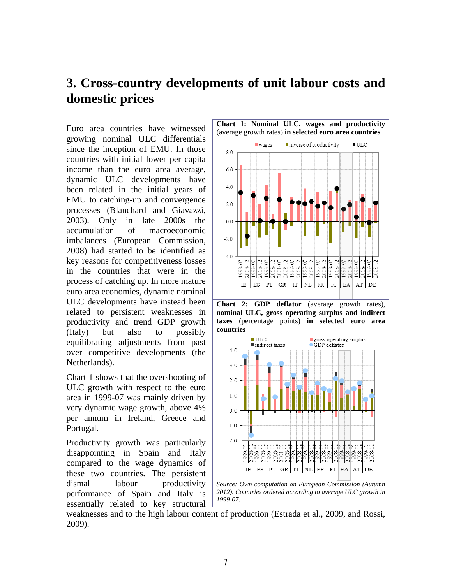### **3. Cross-country developments of unit labour costs and domestic prices**

Euro area countries have witnessed growing nominal ULC differentials since the inception of EMU. In those countries with initial lower per capita income than the euro area average, dynamic ULC developments have been related in the initial years of EMU to catching-up and convergence processes (Blanchard and Giavazzi, 2003). Only in late 2000s the accumulation of macroeconomic imbalances (European Commission, 2008) had started to be identified as key reasons for competitiveness losses in the countries that were in the process of catching up. In more mature euro area economies, dynamic nominal ULC developments have instead been related to persistent weaknesses in productivity and trend GDP growth (Italy) but also to possibly equilibrating adjustments from past over competitive developments (the Netherlands).

Chart 1 shows that the overshooting of ULC growth with respect to the euro area in 1999-07 was mainly driven by very dynamic wage growth, above 4% per annum in Ireland, Greece and Portugal.

Productivity growth was particularly disappointing in Spain and Italy compared to the wage dynamics of these two countries. The persistent dismal labour productivity performance of Spain and Italy is essentially related to key structural







weaknesses and to the high labour content of production (Estrada et al., 2009, and Rossi, 2009).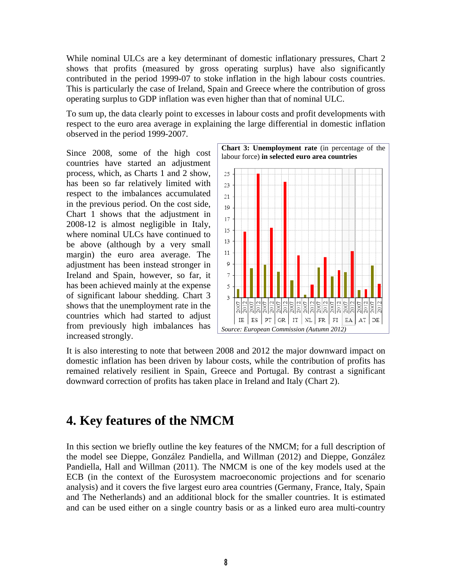While nominal ULCs are a key determinant of domestic inflationary pressures, Chart 2 shows that profits (measured by gross operating surplus) have also significantly contributed in the period 1999-07 to stoke inflation in the high labour costs countries. This is particularly the case of Ireland, Spain and Greece where the contribution of gross operating surplus to GDP inflation was even higher than that of nominal ULC.

To sum up, the data clearly point to excesses in labour costs and profit developments with respect to the euro area average in explaining the large differential in domestic inflation observed in the period 1999-2007.

Since 2008, some of the high cost countries have started an adjustment process, which, as Charts 1 and 2 show, has been so far relatively limited with respect to the imbalances accumulated in the previous period. On the cost side, Chart 1 shows that the adjustment in 2008-12 is almost negligible in Italy, where nominal ULCs have continued to be above (although by a very small margin) the euro area average. The adjustment has been instead stronger in Ireland and Spain, however, so far, it has been achieved mainly at the expense of significant labour shedding. Chart 3 shows that the unemployment rate in the countries which had started to adjust from previously high imbalances has increased strongly.



It is also interesting to note that between 2008 and 2012 the major downward impact on domestic inflation has been driven by labour costs, while the contribution of profits has remained relatively resilient in Spain, Greece and Portugal. By contrast a significant downward correction of profits has taken place in Ireland and Italy (Chart 2).

### **4. Key features of the NMCM**

In this section we briefly outline the key features of the NMCM; for a full description of the model see Dieppe, González Pandiella, and Willman (2012) and Dieppe, González Pandiella, Hall and Willman (2011). The NMCM is one of the key models used at the ECB (in the context of the Eurosystem macroeconomic projections and for scenario analysis) and it covers the five largest euro area countries (Germany, France, Italy, Spain and The Netherlands) and an additional block for the smaller countries. It is estimated and can be used either on a single country basis or as a linked euro area multi-country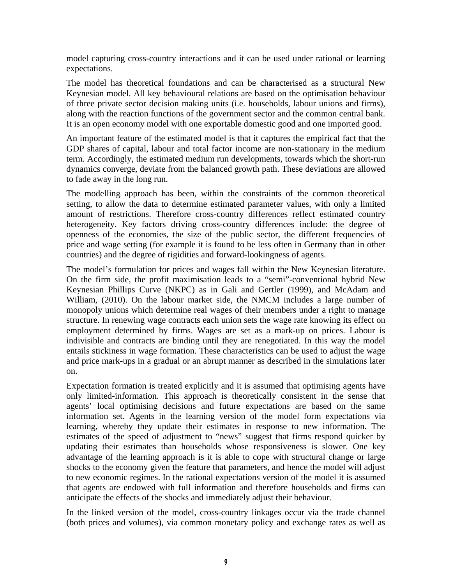model capturing cross-country interactions and it can be used under rational or learning expectations.

The model has theoretical foundations and can be characterised as a structural New Keynesian model. All key behavioural relations are based on the optimisation behaviour of three private sector decision making units (i.e. households, labour unions and firms), along with the reaction functions of the government sector and the common central bank. It is an open economy model with one exportable domestic good and one imported good.

An important feature of the estimated model is that it captures the empirical fact that the GDP shares of capital, labour and total factor income are non-stationary in the medium term. Accordingly, the estimated medium run developments, towards which the short-run dynamics converge, deviate from the balanced growth path. These deviations are allowed to fade away in the long run.

The modelling approach has been, within the constraints of the common theoretical setting, to allow the data to determine estimated parameter values, with only a limited amount of restrictions. Therefore cross-country differences reflect estimated country heterogeneity. Key factors driving cross-country differences include: the degree of openness of the economies, the size of the public sector, the different frequencies of price and wage setting (for example it is found to be less often in Germany than in other countries) and the degree of rigidities and forward-lookingness of agents.

The model's formulation for prices and wages fall within the New Keynesian literature. On the firm side, the profit maximisation leads to a "semi"-conventional hybrid New Keynesian Phillips Curve (NKPC) as in Gali and Gertler (1999), and McAdam and William, (2010). On the labour market side, the NMCM includes a large number of monopoly unions which determine real wages of their members under a right to manage structure. In renewing wage contracts each union sets the wage rate knowing its effect on employment determined by firms. Wages are set as a mark-up on prices. Labour is indivisible and contracts are binding until they are renegotiated. In this way the model entails stickiness in wage formation. These characteristics can be used to adjust the wage and price mark-ups in a gradual or an abrupt manner as described in the simulations later on.

Expectation formation is treated explicitly and it is assumed that optimising agents have only limited-information. This approach is theoretically consistent in the sense that agents' local optimising decisions and future expectations are based on the same information set. Agents in the learning version of the model form expectations via learning, whereby they update their estimates in response to new information. The estimates of the speed of adjustment to "news" suggest that firms respond quicker by updating their estimates than households whose responsiveness is slower. One key advantage of the learning approach is it is able to cope with structural change or large shocks to the economy given the feature that parameters, and hence the model will adjust to new economic regimes. In the rational expectations version of the model it is assumed that agents are endowed with full information and therefore households and firms can anticipate the effects of the shocks and immediately adjust their behaviour.

In the linked version of the model, cross-country linkages occur via the trade channel (both prices and volumes), via common monetary policy and exchange rates as well as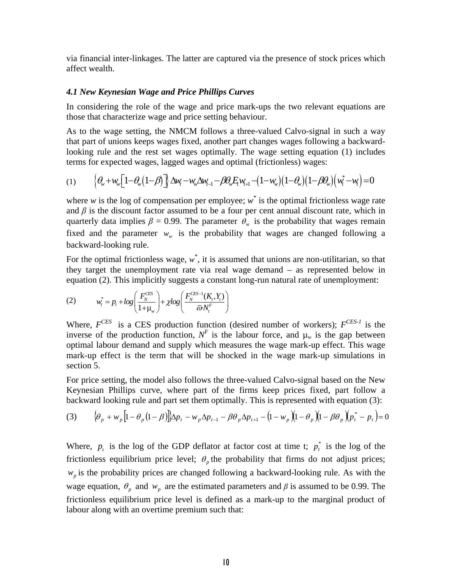via financial inter-linkages. The latter are captured via the presence of stock prices which affect wealth.

#### *4.1 New Keynesian Wage and Price Phillips Curves*

In considering the role of the wage and price mark-ups the two relevant equations are those that characterize wage and price setting behaviour.

As to the wage setting, the NMCM follows a three-valued Calvo-signal in such a way that part of unions keeps wages fixed, another part changes wages following a backwardlooking rule and the rest set wages optimally. The wage setting equation (1) includes terms for expected wages, lagged wages and optimal (frictionless) wages:

$$
(1) \qquad \Big\{\theta_w + w_w \Big[1 - \theta_w \Big(1 - \beta\Big)\Big]\Big\} \Delta w_t - w_w \Delta w_{t-1} - \beta \theta_w E_t w_{t+1} - \Big(1 - w_w \Big) \Big(1 - \theta_w \Big) \Big(1 - \beta \theta_w \Big) \Big(w_t^* - w_t\Big) = 0
$$

where  $w$  is the log of compensation per employee;  $w^*$  is the optimal frictionless wage rate and  $\beta$  is the discount factor assumed to be a four per cent annual discount rate, which in quarterly data implies  $\beta = 0.99$ . The parameter  $\theta_w$  is the probability that wages remain fixed and the parameter  $w_w$  is the probability that wages are changed following a backward-looking rule.

For the optimal frictionless wage,  $w^*$ , it is assumed that unions are non-utilitarian, so that they target the unemployment rate via real wage demand – as represented below in equation (2). This implicitly suggests a constant long-run natural rate of unemployment:

(2) 
$$
w_t^* = p_t + log\left(\frac{F_N^{\text{CES}}}{1 + \mu_w}\right) + \chi log\left(\frac{F_N^{\text{CES-1}}(K_t, Y_t)}{\bar{\omega} N_t^F}\right)
$$

Where,  $F^{CES}$  is a CES production function (desired number of workers);  $F^{CES-1}$  is the inverse of the production function,  $N^F$  is the labour force, and  $\mu_w$  is the gap between optimal labour demand and supply which measures the wage mark-up effect. This wage mark-up effect is the term that will be shocked in the wage mark-up simulations in section 5.

For price setting, the model also follows the three-valued Calvo-signal based on the New Keynesian Phillips curve, where part of the firms keep prices fixed, part follow a backward looking rule and part set them optimally. This is represented with equation (3):

(3) 
$$
\{\theta_p + w_p \left[1 - \theta_p (1 - \beta)\right]\} \Delta p_t - w_p \Delta p_{t-1} - \beta \theta_p \Delta p_{t+1} - \left(1 - w_p \left(1 - \theta_p \left(1 - \beta \theta_p \left(1 - \beta \theta_p + p_{t-1}\right) - \beta \theta_p\right)\right)\right)
$$

Where,  $p_t$  is the log of the GDP deflator at factor cost at time t;  $p_t^*$  is the log of the frictionless equilibrium price level;  $\theta_n$  the probability that firms do not adjust prices; *wp* is the probability prices are changed following a backward-looking rule. As with the wage equation,  $\theta_p$  and  $w_p$  are the estimated parameters and  $\beta$  is assumed to be 0.99. The frictionless equilibrium price level is defined as a mark-up to the marginal product of labour along with an overtime premium such that: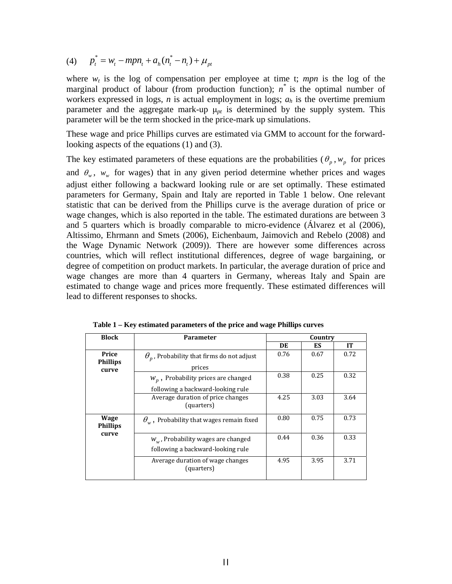(4)  $p_t^* = w_t - mpn_t + a_h(n_t^* - n_t) + \mu_{nt}$ 

where  $w_t$  is the log of compensation per employee at time t; *mpn* is the log of the marginal product of labour (from production function);  $n^*$  is the optimal number of workers expressed in logs, *n* is actual employment in logs; *ah* is the overtime premium parameter and the aggregate mark-up  $\mu_{pt}$  is determined by the supply system. This parameter will be the term shocked in the price-mark up simulations.

These wage and price Phillips curves are estimated via GMM to account for the forwardlooking aspects of the equations (1) and (3).

The key estimated parameters of these equations are the probabilities ( $\theta_p$ ,  $w_p$  for prices and  $\theta_w$ ,  $w_w$  for wages) that in any given period determine whether prices and wages adjust either following a backward looking rule or are set optimally. These estimated parameters for Germany, Spain and Italy are reported in Table 1 below. One relevant statistic that can be derived from the Phillips curve is the average duration of price or wage changes, which is also reported in the table. The estimated durations are between 3 and 5 quarters which is broadly comparable to micro-evidence (Álvarez et al (2006), Altissimo, Ehrmann and Smets (2006), Eichenbaum, Jaimovich and Rebelo (2008) and the Wage Dynamic Network (2009)). There are however some differences across countries, which will reflect institutional differences, degree of wage bargaining, or degree of competition on product markets. In particular, the average duration of price and wage changes are more than 4 quarters in Germany, whereas Italy and Spain are estimated to change wage and prices more frequently. These estimated differences will lead to different responses to shocks.

| <b>Block</b>                      | <b>Parameter</b>                                                                     | Country |      |           |  |
|-----------------------------------|--------------------------------------------------------------------------------------|---------|------|-----------|--|
|                                   |                                                                                      | DE      | ES   | <b>IT</b> |  |
| Price<br><b>Phillips</b><br>curve | $\theta_n$ , Probability that firms do not adjust<br>prices                          | 0.76    | 0.67 | 0.72      |  |
|                                   | $W_p$ , Probability prices are changed                                               | 0.38    | 0.25 | 0.32      |  |
|                                   | following a backward-looking rule<br>Average duration of price changes<br>(quarters) | 4.25    | 3.03 | 3.64      |  |
| Wage<br><b>Phillips</b>           | $\theta_w$ , Probability that wages remain fixed                                     | 0.80    | 0.75 | 0.73      |  |
| curve                             | $W_w$ , Probability wages are changed<br>following a backward-looking rule           | 0.44    | 0.36 | 0.33      |  |
|                                   | Average duration of wage changes<br>(quarters)                                       | 4.95    | 3.95 | 3.71      |  |

**Table 1 – Key estimated parameters of the price and wage Phillips curves**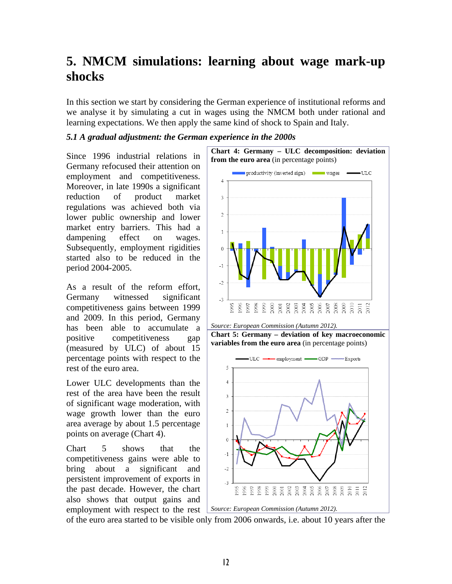## **5. NMCM simulations: learning about wage mark-up shocks**

In this section we start by considering the German experience of institutional reforms and we analyse it by simulating a cut in wages using the NMCM both under rational and learning expectations. We then apply the same kind of shock to Spain and Italy.

#### *5.1 A gradual adjustment: the German experience in the 2000s*

Since 1996 industrial relations in Germany refocused their attention on employment and competitiveness. Moreover, in late 1990s a significant reduction of product market regulations was achieved both via lower public ownership and lower market entry barriers. This had a dampening effect on wages. Subsequently, employment rigidities started also to be reduced in the period 2004-2005.

As a result of the reform effort, Germany witnessed significant competitiveness gains between 1999 and 2009. In this period, Germany has been able to accumulate a positive competitiveness gap (measured by ULC) of about 15 percentage points with respect to the rest of the euro area.

Lower ULC developments than the rest of the area have been the result of significant wage moderation, with wage growth lower than the euro area average by about 1.5 percentage points on average (Chart 4).

Chart 5 shows that the competitiveness gains were able to bring about a significant and persistent improvement of exports in the past decade. However, the chart also shows that output gains and employment with respect to the rest



of the euro area started to be visible only from 2006 onwards, i.e. about 10 years after the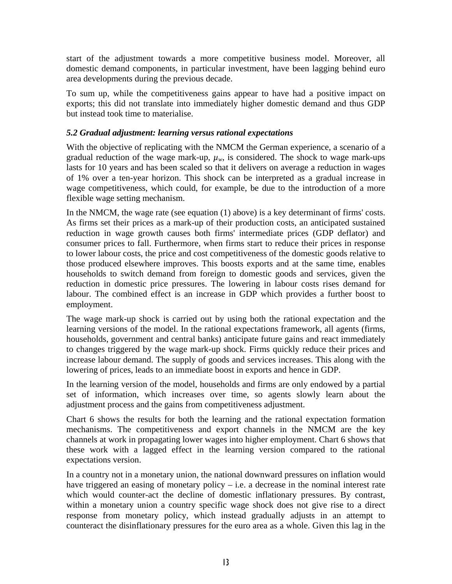start of the adjustment towards a more competitive business model. Moreover, all domestic demand components, in particular investment, have been lagging behind euro area developments during the previous decade.

To sum up, while the competitiveness gains appear to have had a positive impact on exports; this did not translate into immediately higher domestic demand and thus GDP but instead took time to materialise.

### *5.2 Gradual adjustment: learning versus rational expectations*

With the objective of replicating with the NMCM the German experience, a scenario of a gradual reduction of the wage mark-up,  $\mu_w$ , is considered. The shock to wage mark-ups lasts for 10 years and has been scaled so that it delivers on average a reduction in wages of 1% over a ten-year horizon. This shock can be interpreted as a gradual increase in wage competitiveness, which could, for example, be due to the introduction of a more flexible wage setting mechanism.

In the NMCM, the wage rate (see equation (1) above) is a key determinant of firms' costs. As firms set their prices as a mark-up of their production costs, an anticipated sustained reduction in wage growth causes both firms' intermediate prices (GDP deflator) and consumer prices to fall. Furthermore, when firms start to reduce their prices in response to lower labour costs, the price and cost competitiveness of the domestic goods relative to those produced elsewhere improves. This boosts exports and at the same time, enables households to switch demand from foreign to domestic goods and services, given the reduction in domestic price pressures. The lowering in labour costs rises demand for labour. The combined effect is an increase in GDP which provides a further boost to employment.

The wage mark-up shock is carried out by using both the rational expectation and the learning versions of the model. In the rational expectations framework, all agents (firms, households, government and central banks) anticipate future gains and react immediately to changes triggered by the wage mark-up shock. Firms quickly reduce their prices and increase labour demand. The supply of goods and services increases. This along with the lowering of prices, leads to an immediate boost in exports and hence in GDP.

In the learning version of the model, households and firms are only endowed by a partial set of information, which increases over time, so agents slowly learn about the adjustment process and the gains from competitiveness adjustment.

Chart 6 shows the results for both the learning and the rational expectation formation mechanisms. The competitiveness and export channels in the NMCM are the key channels at work in propagating lower wages into higher employment. Chart 6 shows that these work with a lagged effect in the learning version compared to the rational expectations version.

In a country not in a monetary union, the national downward pressures on inflation would have triggered an easing of monetary policy – i.e. a decrease in the nominal interest rate which would counter-act the decline of domestic inflationary pressures. By contrast, within a monetary union a country specific wage shock does not give rise to a direct response from monetary policy, which instead gradually adjusts in an attempt to counteract the disinflationary pressures for the euro area as a whole. Given this lag in the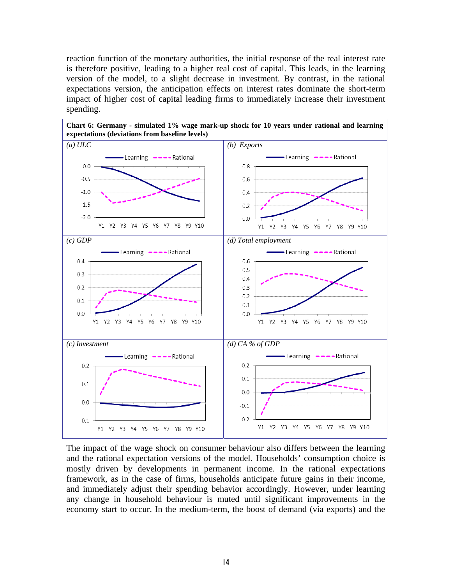reaction function of the monetary authorities, the initial response of the real interest rate is therefore positive, leading to a higher real cost of capital. This leads, in the learning version of the model, to a slight decrease in investment. By contrast, in the rational expectations version, the anticipation effects on interest rates dominate the short-term impact of higher cost of capital leading firms to immediately increase their investment spending.



The impact of the wage shock on consumer behaviour also differs between the learning and the rational expectation versions of the model. Households' consumption choice is mostly driven by developments in permanent income. In the rational expectations framework, as in the case of firms, households anticipate future gains in their income, and immediately adjust their spending behavior accordingly. However, under learning any change in household behaviour is muted until significant improvements in the economy start to occur. In the medium-term, the boost of demand (via exports) and the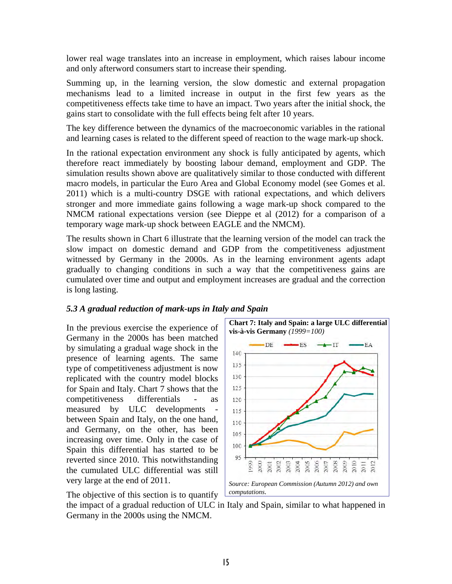lower real wage translates into an increase in employment, which raises labour income and only afterword consumers start to increase their spending.

Summing up, in the learning version, the slow domestic and external propagation mechanisms lead to a limited increase in output in the first few years as the competitiveness effects take time to have an impact. Two years after the initial shock, the gains start to consolidate with the full effects being felt after 10 years.

The key difference between the dynamics of the macroeconomic variables in the rational and learning cases is related to the different speed of reaction to the wage mark-up shock.

In the rational expectation environment any shock is fully anticipated by agents, which therefore react immediately by boosting labour demand, employment and GDP. The simulation results shown above are qualitatively similar to those conducted with different macro models, in particular the Euro Area and Global Economy model (see Gomes et al. 2011) which is a multi-country DSGE with rational expectations, and which delivers stronger and more immediate gains following a wage mark-up shock compared to the NMCM rational expectations version (see Dieppe et al (2012) for a comparison of a temporary wage mark-up shock between EAGLE and the NMCM).

The results shown in Chart 6 illustrate that the learning version of the model can track the slow impact on domestic demand and GDP from the competitiveness adjustment witnessed by Germany in the 2000s. As in the learning environment agents adapt gradually to changing conditions in such a way that the competitiveness gains are cumulated over time and output and employment increases are gradual and the correction is long lasting.

### *5.3 A gradual reduction of mark-ups in Italy and Spain*

In the previous exercise the experience of Germany in the 2000s has been matched by simulating a gradual wage shock in the presence of learning agents. The same type of competitiveness adjustment is now replicated with the country model blocks for Spain and Italy. Chart 7 shows that the competitiveness differentials - as measured by ULC developments between Spain and Italy, on the one hand, and Germany, on the other, has been increasing over time. Only in the case of Spain this differential has started to be reverted since 2010. This notwithstanding the cumulated ULC differential was still very large at the end of 2011.





the impact of a gradual reduction of ULC in Italy and Spain, similar to what happened in Germany in the 2000s using the NMCM.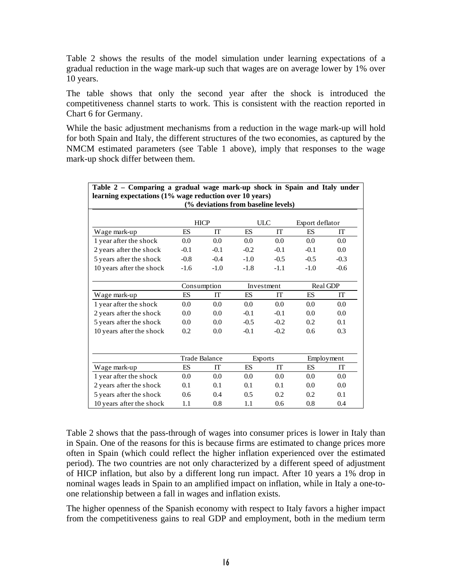Table 2 shows the results of the model simulation under learning expectations of a gradual reduction in the wage mark-up such that wages are on average lower by 1% over 10 years.

The table shows that only the second year after the shock is introduced the competitiveness channel starts to work. This is consistent with the reaction reported in Chart 6 for Germany.

While the basic adjustment mechanisms from a reduction in the wage mark-up will hold for both Spain and Italy, the different structures of the two economies, as captured by the NMCM estimated parameters (see Table 1 above), imply that responses to the wage mark-up shock differ between them.

| Table 2 – Comparing a gradual wage mark-up shock in Spain and Italy under |                      |                                     |            |           |                 |        |
|---------------------------------------------------------------------------|----------------------|-------------------------------------|------------|-----------|-----------------|--------|
| learning expectations (1% wage reduction over 10 years)                   |                      |                                     |            |           |                 |        |
|                                                                           |                      | (% deviations from baseline levels) |            |           |                 |        |
|                                                                           |                      |                                     |            |           |                 |        |
|                                                                           |                      | <b>HICP</b>                         | <b>ULC</b> |           | Export deflator |        |
| Wage mark-up                                                              | ES                   | <b>IT</b>                           | <b>ES</b>  | <b>IT</b> | ES              | IT     |
| 1 year after the shock                                                    | 0.0                  | 0.0                                 | 0.0        | 0.0       | 0.0             | 0.0    |
| 2 years after the shock                                                   | $-0.1$               | $-0.1$                              | $-0.2$     | $-0.1$    | $-0.1$          | 0.0    |
| 5 years after the shock                                                   | $-0.8$               | $-0.4$                              | $-1.0$     | $-0.5$    | $-0.5$          | $-0.3$ |
| 10 years after the shock                                                  | $-1.6$               | $-1.0$                              | $-1.8$     | $-1.1$    | $-1.0$          | $-0.6$ |
|                                                                           |                      |                                     |            |           |                 |        |
|                                                                           | Consumption          |                                     | Investment |           | Real GDP        |        |
| Wage mark-up                                                              | ES                   | <b>IT</b>                           | ES         | <b>IT</b> | ES              | IT     |
| 1 year after the shock                                                    | 0.0                  | 0.0                                 | 0.0        | 0.0       | 0.0             | 0.0    |
| 2 years after the shock                                                   | 0.0                  | 0.0                                 | $-0.1$     | $-0.1$    | 0.0             | 0.0    |
| 5 years after the shock                                                   | 0.0                  | 0.0                                 | $-0.5$     | $-0.2$    | 0.2             | 0.1    |
| 10 years after the shock                                                  | 0.2                  | 0.0                                 | $-0.1$     | $-0.2$    | 0.6             | 0.3    |
|                                                                           |                      |                                     |            |           |                 |        |
|                                                                           |                      |                                     |            |           |                 |        |
|                                                                           | <b>Trade Balance</b> |                                     | Exports    |           | Employment      |        |
| Wage mark-up                                                              | <b>FS</b>            | IТ                                  | <b>ES</b>  | <b>IT</b> | ES              | IТ     |
| 1 year after the shock                                                    | 0.0                  | 0.0                                 | 0.0        | 0.0       | 0.0             | 0.0    |
| 2 years after the shock                                                   | 0.1                  | 0.1                                 | 0.1        | 0.1       | $0.0^{\circ}$   | 0.0    |
| 5 years after the shock                                                   | $0.6^{\circ}$        | 0.4                                 | 0.5        | 0.2       | 0.2             | 0.1    |
| 10 years after the shock                                                  | 1.1                  | 0.8                                 | 1.1        | 0.6       | 0.8             | 0.4    |

Table 2 shows that the pass-through of wages into consumer prices is lower in Italy than in Spain. One of the reasons for this is because firms are estimated to change prices more often in Spain (which could reflect the higher inflation experienced over the estimated period). The two countries are not only characterized by a different speed of adjustment of HICP inflation, but also by a different long run impact. After 10 years a 1% drop in nominal wages leads in Spain to an amplified impact on inflation, while in Italy a one-toone relationship between a fall in wages and inflation exists.

The higher openness of the Spanish economy with respect to Italy favors a higher impact from the competitiveness gains to real GDP and employment, both in the medium term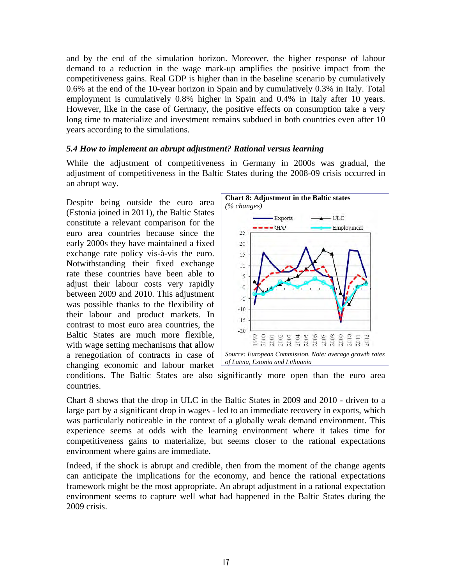and by the end of the simulation horizon. Moreover, the higher response of labour demand to a reduction in the wage mark-up amplifies the positive impact from the competitiveness gains. Real GDP is higher than in the baseline scenario by cumulatively 0.6% at the end of the 10-year horizon in Spain and by cumulatively 0.3% in Italy. Total employment is cumulatively 0.8% higher in Spain and 0.4% in Italy after 10 years. However, like in the case of Germany, the positive effects on consumption take a very long time to materialize and investment remains subdued in both countries even after 10 years according to the simulations.

#### *5.4 How to implement an abrupt adjustment? Rational versus learning*

While the adjustment of competitiveness in Germany in 2000s was gradual, the adjustment of competitiveness in the Baltic States during the 2008-09 crisis occurred in an abrupt way.

Despite being outside the euro area (Estonia joined in 2011), the Baltic States constitute a relevant comparison for the euro area countries because since the early 2000s they have maintained a fixed exchange rate policy vis-à-vis the euro. Notwithstanding their fixed exchange rate these countries have been able to adjust their labour costs very rapidly between 2009 and 2010. This adjustment was possible thanks to the flexibility of their labour and product markets. In contrast to most euro area countries, the Baltic States are much more flexible, with wage setting mechanisms that allow a renegotiation of contracts in case of changing economic and labour market



conditions. The Baltic States are also significantly more open than the euro area countries.

Chart 8 shows that the drop in ULC in the Baltic States in 2009 and 2010 - driven to a large part by a significant drop in wages - led to an immediate recovery in exports, which was particularly noticeable in the context of a globally weak demand environment. This experience seems at odds with the learning environment where it takes time for competitiveness gains to materialize, but seems closer to the rational expectations environment where gains are immediate.

Indeed, if the shock is abrupt and credible, then from the moment of the change agents can anticipate the implications for the economy, and hence the rational expectations framework might be the most appropriate. An abrupt adjustment in a rational expectation environment seems to capture well what had happened in the Baltic States during the 2009 crisis.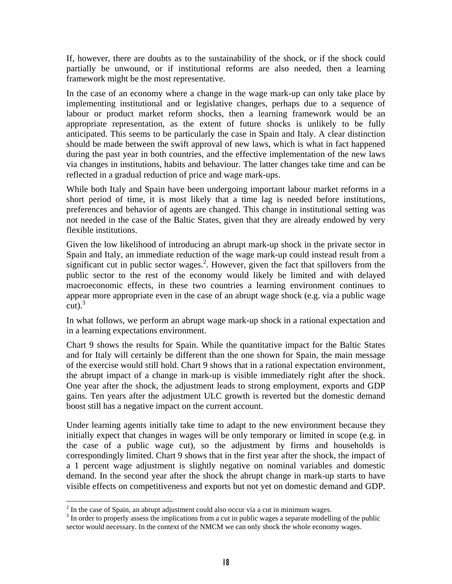If, however, there are doubts as to the sustainability of the shock, or if the shock could partially be unwound, or if institutional reforms are also needed, then a learning framework might be the most representative.

In the case of an economy where a change in the wage mark-up can only take place by implementing institutional and or legislative changes, perhaps due to a sequence of labour or product market reform shocks, then a learning framework would be an appropriate representation, as the extent of future shocks is unlikely to be fully anticipated. This seems to be particularly the case in Spain and Italy. A clear distinction should be made between the swift approval of new laws, which is what in fact happened during the past year in both countries, and the effective implementation of the new laws via changes in institutions, habits and behaviour. The latter changes take time and can be reflected in a gradual reduction of price and wage mark-ups.

While both Italy and Spain have been undergoing important labour market reforms in a short period of time, it is most likely that a time lag is needed before institutions, preferences and behavior of agents are changed. This change in institutional setting was not needed in the case of the Baltic States, given that they are already endowed by very flexible institutions.

Given the low likelihood of introducing an abrupt mark-up shock in the private sector in Spain and Italy, an immediate reduction of the wage mark-up could instead result from a significant cut in public sector wages.<sup>[2](#page-19-0)</sup>. However, given the fact that spillovers from the public sector to the rest of the economy would likely be limited and with delayed macroeconomic effects, in these two countries a learning environment continues to appear more appropriate even in the case of an abrupt wage shock (e.g. via a public wage  $\operatorname{cut})$ .<sup>[3](#page-19-1)</sup>

In what follows, we perform an abrupt wage mark-up shock in a rational expectation and in a learning expectations environment.

Chart 9 shows the results for Spain. While the quantitative impact for the Baltic States and for Italy will certainly be different than the one shown for Spain, the main message of the exercise would still hold. Chart 9 shows that in a rational expectation environment, the abrupt impact of a change in mark-up is visible immediately right after the shock. One year after the shock, the adjustment leads to strong employment, exports and GDP gains. Ten years after the adjustment ULC growth is reverted but the domestic demand boost still has a negative impact on the current account.

Under learning agents initially take time to adapt to the new environment because they initially expect that changes in wages will be only temporary or limited in scope (e.g. in the case of a public wage cut), so the adjustment by firms and households is correspondingly limited. Chart 9 shows that in the first year after the shock, the impact of a 1 percent wage adjustment is slightly negative on nominal variables and domestic demand. In the second year after the shock the abrupt change in mark-up starts to have visible effects on competitiveness and exports but not yet on domestic demand and GDP.

 $\overline{a}$  $^{2}$  In the case of Spain, an abrupt adjustment could also occur via a cut in minimum wages.<br> $^{3}$  In order to properly assess the implications from a cut in public wages a separate modelli

<span id="page-19-1"></span><span id="page-19-0"></span> $\frac{3}{3}$  In order to properly assess the implications from a cut in public wages a separate modelling of the public sector would necessary. In the context of the NMCM we can only shock the whole economy wages.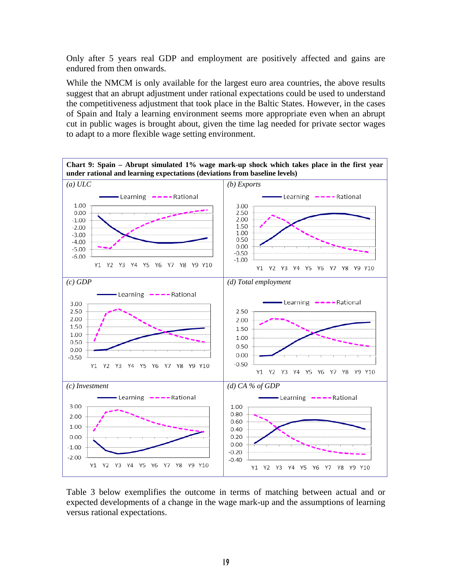Only after 5 years real GDP and employment are positively affected and gains are endured from then onwards.

While the NMCM is only available for the largest euro area countries, the above results suggest that an abrupt adjustment under rational expectations could be used to understand the competitiveness adjustment that took place in the Baltic States. However, in the cases of Spain and Italy a learning environment seems more appropriate even when an abrupt cut in public wages is brought about, given the time lag needed for private sector wages to adapt to a more flexible wage setting environment.



Table 3 below exemplifies the outcome in terms of matching between actual and or expected developments of a change in the wage mark-up and the assumptions of learning versus rational expectations.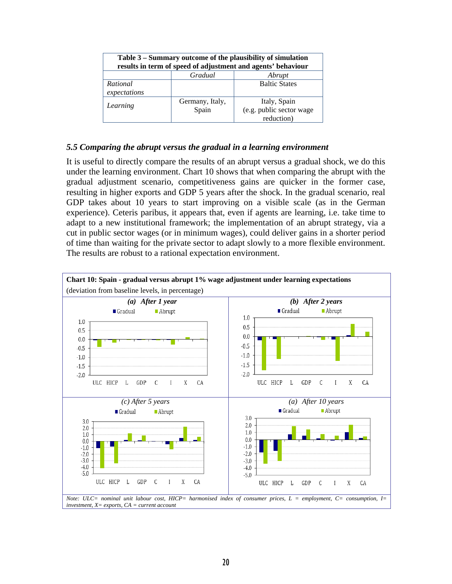| Table 3 – Summary outcome of the plausibility of simulation<br>results in term of speed of adjustment and agents' behaviour |                          |                                                        |  |  |  |  |  |
|-----------------------------------------------------------------------------------------------------------------------------|--------------------------|--------------------------------------------------------|--|--|--|--|--|
|                                                                                                                             | Gradual<br>Abrupt        |                                                        |  |  |  |  |  |
| Rational<br>expectations                                                                                                    |                          | <b>Baltic States</b>                                   |  |  |  |  |  |
| Learning                                                                                                                    | Germany, Italy,<br>Spain | Italy, Spain<br>(e.g. public sector wage<br>reduction) |  |  |  |  |  |

#### *5.5 Comparing the abrupt versus the gradual in a learning environment*

It is useful to directly compare the results of an abrupt versus a gradual shock, we do this under the learning environment. Chart 10 shows that when comparing the abrupt with the gradual adjustment scenario, competitiveness gains are quicker in the former case, resulting in higher exports and GDP 5 years after the shock. In the gradual scenario, real GDP takes about 10 years to start improving on a visible scale (as in the German experience). Ceteris paribus, it appears that, even if agents are learning, i.e. take time to adapt to a new institutional framework; the implementation of an abrupt strategy, via a cut in public sector wages (or in minimum wages), could deliver gains in a shorter period of time than waiting for the private sector to adapt slowly to a more flexible environment. The results are robust to a rational expectation environment.

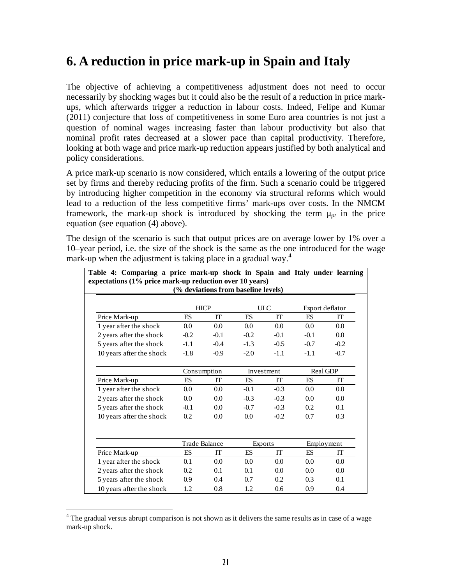## **6. A reduction in price mark-up in Spain and Italy**

The objective of achieving a competitiveness adjustment does not need to occur necessarily by shocking wages but it could also be the result of a reduction in price markups, which afterwards trigger a reduction in labour costs. Indeed, Felipe and Kumar (2011) conjecture that loss of competitiveness in some Euro area countries is not just a question of nominal wages increasing faster than labour productivity but also that nominal profit rates decreased at a slower pace than capital productivity. Therefore, looking at both wage and price mark-up reduction appears justified by both analytical and policy considerations.

A price mark-up scenario is now considered, which entails a lowering of the output price set by firms and thereby reducing profits of the firm. Such a scenario could be triggered by introducing higher competition in the economy via structural reforms which would lead to a reduction of the less competitive firms' mark-ups over costs. In the NMCM framework, the mark-up shock is introduced by shocking the term  $\mu_{pt}$  in the price equation (see equation (4) above).

The design of the scenario is such that output prices are on average lower by 1% over a 10–year period, i.e. the size of the shock is the same as the one introduced for the wage mark-up when the adjustment is taking place in a gradual way. $4$ 

| Table 4: Comparing a price mark-up shock in Spain and Italy under learning<br>expectations (1% price mark-up reduction over 10 years) |                      |             | (% deviations from baseline levels) |                         |           |                 |
|---------------------------------------------------------------------------------------------------------------------------------------|----------------------|-------------|-------------------------------------|-------------------------|-----------|-----------------|
|                                                                                                                                       |                      | <b>HICP</b> |                                     | $\overline{\text{ULC}}$ |           | Export deflator |
| Price Mark-up                                                                                                                         | <b>ES</b>            | <b>IT</b>   | <b>FS</b>                           | <b>IT</b>               | <b>FS</b> | <b>IT</b>       |
| 1 year after the shock                                                                                                                | 0.0                  | 0.0         | 0.0                                 | 0.0                     | 0.0       | 0.0             |
| 2 years after the shock                                                                                                               | $-0.2$               | $-0.1$      | $-0.2$                              | $-0.1$                  | $-0.1$    | 0.0             |
| 5 years after the shock                                                                                                               | $-1.1$               | $-0.4$      | $-1.3$                              | $-0.5$                  | $-0.7$    | $-0.2$          |
| 10 years after the shock                                                                                                              | $-1.8$               | $-0.9$      | $-2.0$                              | $-1.1$                  | $-1.1$    | $-0.7$          |
|                                                                                                                                       |                      | Consumption |                                     | Investment              | Real GDP  |                 |
| Price Mark-up                                                                                                                         | <b>ES</b>            | <b>IT</b>   | <b>FS</b>                           | IТ                      | ES        | IT              |
| 1 year after the shock                                                                                                                | 0.0                  | 0.0         | $-0.1$                              | $-0.3$                  | 0.0       | 0.0             |
| 2 years after the shock                                                                                                               | 0.0                  | 0.0         | $-0.3$                              | $-0.3$                  | 0.0       | 0.0             |
| 5 years after the shock                                                                                                               | $-0.1$               | 0.0         | $-0.7$                              | $-0.3$                  | 0.2       | 0.1             |
| 10 years after the shock                                                                                                              | 0.2                  | 0.0         | 0.0                                 | $-0.2$                  | 0.7       | 0.3             |
|                                                                                                                                       |                      |             |                                     |                         |           |                 |
|                                                                                                                                       | <b>Trade Balance</b> |             | <b>Exports</b>                      |                         |           | Employment      |
| Price Mark-up                                                                                                                         | <b>ES</b>            | <b>IT</b>   | ES                                  | <b>IT</b>               | <b>ES</b> | <b>IT</b>       |
| 1 year after the shock                                                                                                                | 0.1                  | 0.0         | 0.0                                 | 0.0                     | 0.0       | 0.0             |
| 2 years after the shock                                                                                                               | 0.2                  | 0.1         | 0.1                                 | 0.0                     | 0.0       | 0.0             |
| 5 years after the shock                                                                                                               | 0.9                  | 0.4         | 0.7                                 | 0.2                     | 0.3       | 0.1             |
| 10 years after the shock                                                                                                              | 1.2                  | 0.8         | 1.2                                 | 0.6                     | 0.9       | 0.4             |

<span id="page-22-0"></span><sup>&</sup>lt;sup>4</sup> The gradual versus abrupt comparison is not shown as it delivers the same results as in case of a wage mark-up shock.

 $\overline{a}$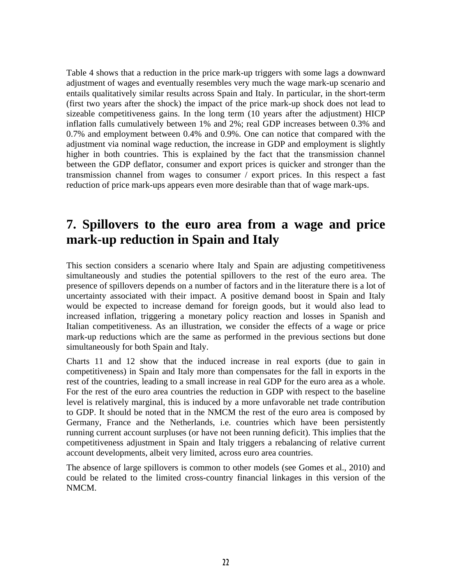Table 4 shows that a reduction in the price mark-up triggers with some lags a downward adjustment of wages and eventually resembles very much the wage mark-up scenario and entails qualitatively similar results across Spain and Italy. In particular, in the short-term (first two years after the shock) the impact of the price mark-up shock does not lead to sizeable competitiveness gains. In the long term (10 years after the adjustment) HICP inflation falls cumulatively between 1% and 2%; real GDP increases between 0.3% and 0.7% and employment between 0.4% and 0.9%. One can notice that compared with the adjustment via nominal wage reduction, the increase in GDP and employment is slightly higher in both countries. This is explained by the fact that the transmission channel between the GDP deflator, consumer and export prices is quicker and stronger than the transmission channel from wages to consumer / export prices. In this respect a fast reduction of price mark-ups appears even more desirable than that of wage mark-ups.

### **7. Spillovers to the euro area from a wage and price mark-up reduction in Spain and Italy**

This section considers a scenario where Italy and Spain are adjusting competitiveness simultaneously and studies the potential spillovers to the rest of the euro area. The presence of spillovers depends on a number of factors and in the literature there is a lot of uncertainty associated with their impact. A positive demand boost in Spain and Italy would be expected to increase demand for foreign goods, but it would also lead to increased inflation, triggering a monetary policy reaction and losses in Spanish and Italian competitiveness. As an illustration, we consider the effects of a wage or price mark-up reductions which are the same as performed in the previous sections but done simultaneously for both Spain and Italy.

Charts 11 and 12 show that the induced increase in real exports (due to gain in competitiveness) in Spain and Italy more than compensates for the fall in exports in the rest of the countries, leading to a small increase in real GDP for the euro area as a whole. For the rest of the euro area countries the reduction in GDP with respect to the baseline level is relatively marginal, this is induced by a more unfavorable net trade contribution to GDP. It should be noted that in the NMCM the rest of the euro area is composed by Germany, France and the Netherlands, i.e. countries which have been persistently running current account surpluses (or have not been running deficit). This implies that the competitiveness adjustment in Spain and Italy triggers a rebalancing of relative current account developments, albeit very limited, across euro area countries.

The absence of large spillovers is common to other models (see Gomes et al., 2010) and could be related to the limited cross-country financial linkages in this version of the NMCM.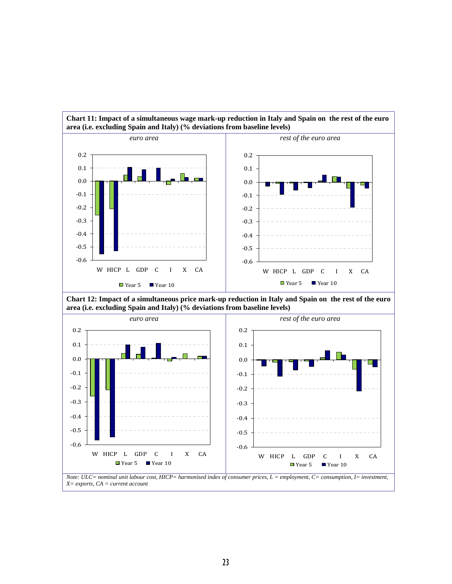

# **Chart 11: Impact of a simultaneous wage mark-up reduction in Italy and Spain on the rest of the euro**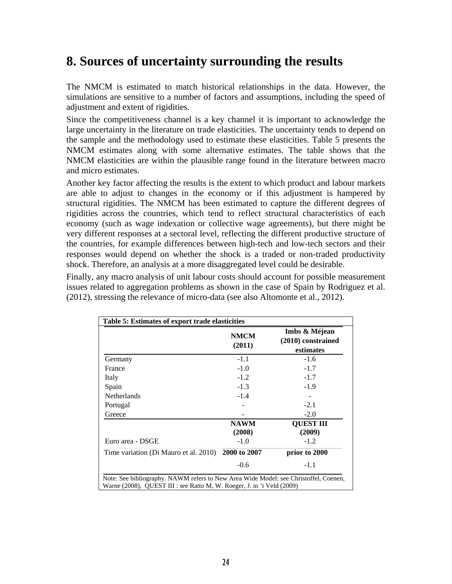## **8. Sources of uncertainty surrounding the results**

The NMCM is estimated to match historical relationships in the data. However, the simulations are sensitive to a number of factors and assumptions, including the speed of adjustment and extent of rigidities.

Since the competitiveness channel is a key channel it is important to acknowledge the large uncertainty in the literature on trade elasticities. The uncertainty tends to depend on the sample and the methodology used to estimate these elasticities. Table 5 presents the NMCM estimates along with some alternative estimates. The table shows that the NMCM elasticities are within the plausible range found in the literature between macro and micro estimates.

Another key factor affecting the results is the extent to which product and labour markets are able to adjust to changes in the economy or if this adjustment is hampered by structural rigidities. The NMCM has been estimated to capture the different degrees of rigidities across the countries, which tend to reflect structural characteristics of each economy (such as wage indexation or collective wage agreements), but there might be very different responses at a sectoral level, reflecting the different productive structure of the countries, for example differences between high-tech and low-tech sectors and their responses would depend on whether the shock is a traded or non-traded productivity shock. Therefore, an analysis at a more disaggregated level could be desirable.

Finally, any macro analysis of unit labour costs should account for possible measurement issues related to aggregation problems as shown in the case of Spain by Rodriguez et al. (2012), stressing the relevance of micro-data (see also Altomonte et al., 2012).

|                                       | <b>NMCM</b><br>(2011) | Imbs & Méjean<br>(2010) constrained<br>estimates |
|---------------------------------------|-----------------------|--------------------------------------------------|
| Germany                               | $-1.1$                | $-1.6$                                           |
| France                                | $-1.0$                | $-1.7$                                           |
| Italy                                 | $-1.2$                | $-1.7$                                           |
| Spain                                 | $-1.3$                | $-1.9$                                           |
| <b>Netherlands</b>                    | $-1.4$                |                                                  |
| Portugal                              |                       | $-2.1$                                           |
| Greece                                |                       | $-2.0$                                           |
|                                       | <b>NAWM</b><br>(2008) | <b>QUEST III</b><br>(2009)                       |
| Euro area - DSGE                      | $-1.0$                | $-1.2$                                           |
| Time variation (Di Mauro et al. 2010) | 2000 to 2007          | prior to 2000                                    |
|                                       | $-0.6$                | $-1.1$                                           |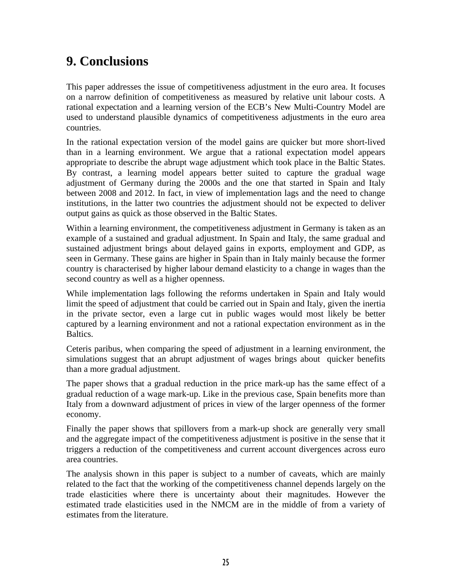## **9. Conclusions**

This paper addresses the issue of competitiveness adjustment in the euro area. It focuses on a narrow definition of competitiveness as measured by relative unit labour costs. A rational expectation and a learning version of the ECB's New Multi-Country Model are used to understand plausible dynamics of competitiveness adjustments in the euro area countries.

In the rational expectation version of the model gains are quicker but more short-lived than in a learning environment. We argue that a rational expectation model appears appropriate to describe the abrupt wage adjustment which took place in the Baltic States. By contrast, a learning model appears better suited to capture the gradual wage adjustment of Germany during the 2000s and the one that started in Spain and Italy between 2008 and 2012. In fact, in view of implementation lags and the need to change institutions, in the latter two countries the adjustment should not be expected to deliver output gains as quick as those observed in the Baltic States.

Within a learning environment, the competitiveness adjustment in Germany is taken as an example of a sustained and gradual adjustment. In Spain and Italy, the same gradual and sustained adjustment brings about delayed gains in exports, employment and GDP, as seen in Germany. These gains are higher in Spain than in Italy mainly because the former country is characterised by higher labour demand elasticity to a change in wages than the second country as well as a higher openness.

While implementation lags following the reforms undertaken in Spain and Italy would limit the speed of adjustment that could be carried out in Spain and Italy, given the inertia in the private sector, even a large cut in public wages would most likely be better captured by a learning environment and not a rational expectation environment as in the Baltics.

Ceteris paribus, when comparing the speed of adjustment in a learning environment, the simulations suggest that an abrupt adjustment of wages brings about quicker benefits than a more gradual adjustment.

The paper shows that a gradual reduction in the price mark-up has the same effect of a gradual reduction of a wage mark-up. Like in the previous case, Spain benefits more than Italy from a downward adjustment of prices in view of the larger openness of the former economy.

Finally the paper shows that spillovers from a mark-up shock are generally very small and the aggregate impact of the competitiveness adjustment is positive in the sense that it triggers a reduction of the competitiveness and current account divergences across euro area countries.

The analysis shown in this paper is subject to a number of caveats, which are mainly related to the fact that the working of the competitiveness channel depends largely on the trade elasticities where there is uncertainty about their magnitudes. However the estimated trade elasticities used in the NMCM are in the middle of from a variety of estimates from the literature.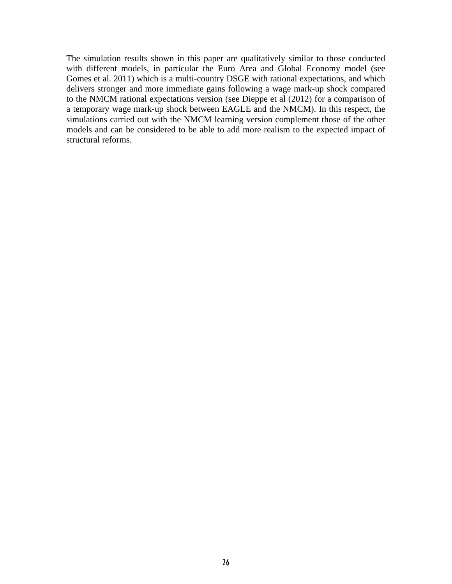The simulation results shown in this paper are qualitatively similar to those conducted with different models, in particular the Euro Area and Global Economy model (see Gomes et al. 2011) which is a multi-country DSGE with rational expectations, and which delivers stronger and more immediate gains following a wage mark-up shock compared to the NMCM rational expectations version (see Dieppe et al (2012) for a comparison of a temporary wage mark-up shock between EAGLE and the NMCM). In this respect, the simulations carried out with the NMCM learning version complement those of the other models and can be considered to be able to add more realism to the expected impact of structural reforms.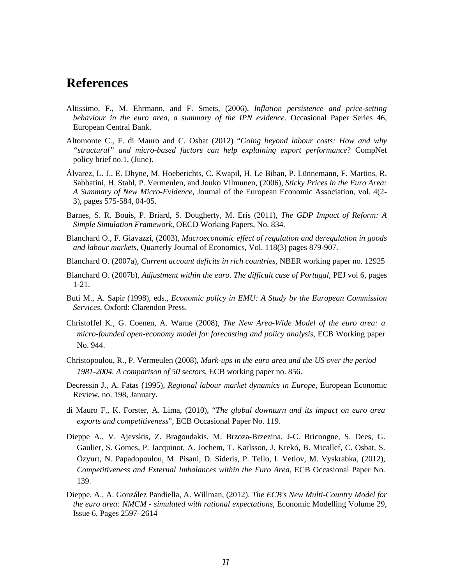### **References**

- Altissimo, F., M. Ehrmann, and F. Smets, (2006), *Inflation persistence and price-setting behaviour in the euro area, a summary of the IPN evidence*. Occasional Paper Series 46, European Central Bank.
- Altomonte C., F. di Mauro and C. Osbat (2012) "*Going beyond labour costs: How and why "structural" and micro-based factors can help explaining export performance*? CompNet policy brief no.1, (June).
- Álvarez, L. J., E. Dhyne, M. Hoeberichts, C. Kwapil, H. Le Bihan, P. Lünnemann, F. Martins, R. Sabbatini, H. Stahl, P. Vermeulen, and Jouko Vilmunen, (2006), *Sticky Prices in the Euro Area: A Summary of New Micro-Evidence*, Journal of the European Economic Association, vol. 4(2- 3), pages 575-584, 04-05.
- Barnes, S. R. Bouis, P. Briard, S. Dougherty, M. Eris (2011), *The GDP Impact of Reform: A Simple Simulation Framework*, OECD Working Papers, No. 834.
- Blanchard O., F. Giavazzi, (2003), *Macroeconomic effect of regulation and deregulation in goods and labour markets*, Quarterly Journal of Economics, Vol. 118(3) pages 879-907.
- Blanchard O. (2007a), *Current account deficits in rich countries*, NBER working paper no. 12925
- Blanchard O. (2007b), *Adjustment within the euro. The difficult case of Portugal*, PEJ vol 6, pages 1-21.
- Buti M., A. Sapir (1998), eds., *Economic policy in EMU: A Study by the European Commission Services*, Oxford: Clarendon Press.
- Christoffel K., G. Coenen, A. Warne (2008), *The New Area-Wide Model of the euro area: a micro-founded open-economy model for forecasting and policy analysis*, ECB Working paper No. 944.
- Christopoulou, R., P. Vermeulen (2008), *Mark-ups in the euro area and the US over the period 1981-2004. A comparison of 50 sectors*, ECB working paper no. 856.
- Decressin J., A. Fatas (1995), *Regional labour market dynamics in Europe*, European Economic Review, no. 198, January.
- di Mauro F., K. Forster, A. Lima, (2010), "*The global downturn and its impact on euro area exports and competitiveness*", ECB Occasional Paper No. 119.
- Dieppe A., V. Ajevskis, Z. Bragoudakis, M. Brzoza-Brzezina, J-C. Bricongne, S. Dees, G. Gaulier, S. Gomes, P. Jacquinot, A. Jochem, T. Karlsson, J. Krekó, B. Micallef, C. Osbat, S. Özyurt, N. Papadopoulou, M. Pisani, D. Sideris, P. Tello, I. Vetlov, M. Vyskrabka, (2012), *Competitiveness and External Imbalances within the Euro Area*, ECB Occasional Paper No. 139.
- Dieppe, A., A. González Pandiella, A. Willman, (2012). *The ECB's New Multi-Country Model for the euro area: NMCM - simulated with rational expectations*, Economic Modelling Volume 29, Issue 6, Pages 2597–2614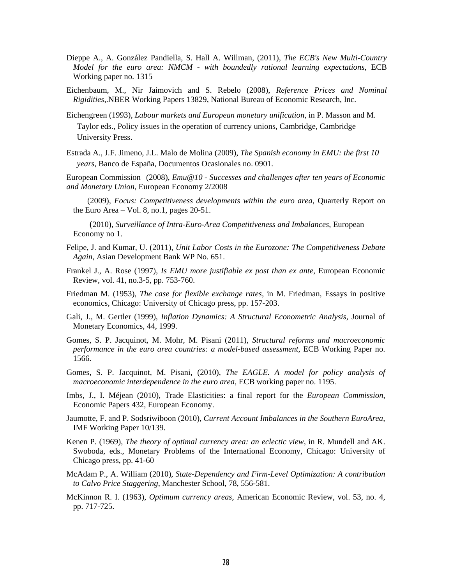- Dieppe A., A. González Pandiella, S. Hall A. Willman, (2011), *The ECB's New Multi-Country Model for the euro area: NMCM - with boundedly rational learning expectations*, ECB Working paper no. 1315
- Eichenbaum, M., Nir Jaimovich and S. Rebelo (2008), *Reference Prices and Nominal Rigidities*,.NBER Working Papers 13829, National Bureau of Economic Research, Inc.
- Eichengreen (1993), *Labour markets and European monetary unification,* in P. Masson and M. Taylor eds., Policy issues in the operation of currency unions, Cambridge, Cambridge University Press.
- Estrada A., J.F. Jimeno, J.L. Malo de Molina (2009), *The Spanish economy in EMU: the first 10 years*, Banco de España, Documentos Ocasionales no. 0901.

European Commission (2008), *Emu@10 - Successes and challenges after ten years of Economic and Monetary Union*, European Economy 2/2008

 (2009), *Focus: Competitiveness developments within the euro area*, Quarterly Report on the Euro Area – Vol. 8, no.1, pages 20-51.

(2010), *Surveillance of Intra-Euro-Area Competitiveness and Imbalances*, European Economy no 1.

- Felipe, J. and Kumar, U. (2011), *Unit Labor Costs in the Eurozone: The Competitiveness Debate Again*, Asian Development Bank WP No. 651.
- Frankel J., A. Rose (1997), *Is EMU more justifiable ex post than ex ante*, European Economic Review, vol. 41, no.3-5, pp. 753-760.
- Friedman M. (1953), *The case for flexible exchange rates*, in M. Friedman, Essays in positive economics, Chicago: University of Chicago press, pp. 157-203.
- Gali, J., M. Gertler (1999), *Inflation Dynamics: A Structural Econometric Analysis,* Journal of Monetary Economics, 44, 1999.
- Gomes, S. P. Jacquinot, M. Mohr, M. Pisani (2011), *Structural reforms and macroeconomic performance in the euro area countries: a model-based assessment*, ECB Working Paper no. 1566.
- Gomes, S. P. Jacquinot, M. Pisani, (2010), *The EAGLE. A model for policy analysis of macroeconomic interdependence in the euro area,* ECB working paper no. 1195.
- Imbs, J., I. Méjean (2010), Trade Elasticities: a final report for the *European Commission*, Economic Papers 432, European Economy.
- Jaumotte, F. and P. Sodsriwiboon (2010), *Current Account Imbalances in the Southern EuroArea*, IMF Working Paper 10/139.
- Kenen P. (1969), *The theory of optimal currency area: an eclectic view*, in R. Mundell and AK. Swoboda, eds., Monetary Problems of the International Economy, Chicago: University of Chicago press, pp. 41-60
- McAdam P., A. William (2010), *State-Dependency and Firm-Level Optimization: A contribution to Calvo Price Staggering*, Manchester School, 78, 556-581.
- McKinnon R. I. (1963), *Optimum currency areas*, American Economic Review, vol. 53, no. 4, pp. 717-725.